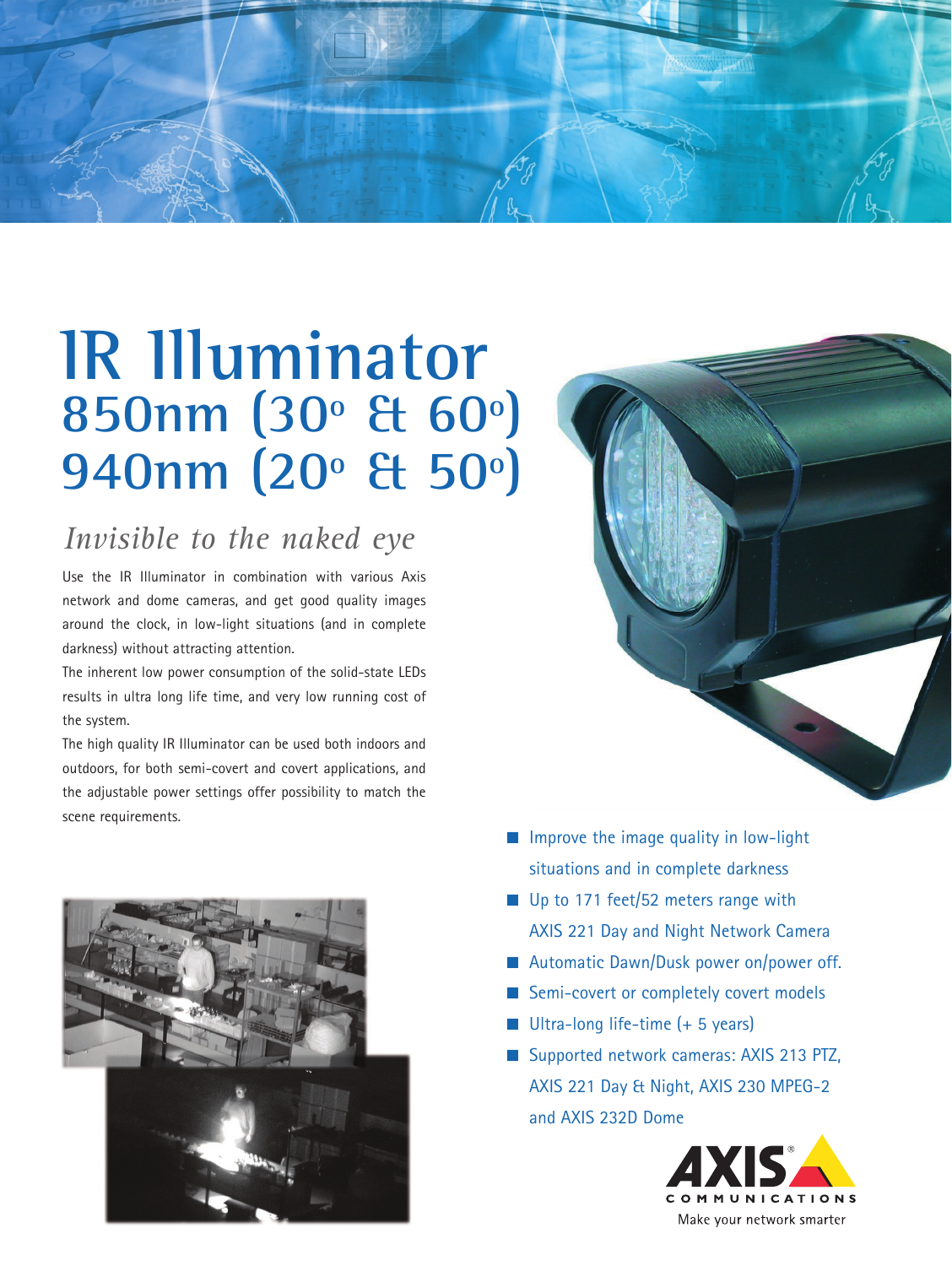

# **IR Illuminator 850nm (30º & 60º) 940nm (20º & 50º)**

## *Invisible to the naked eye*

Use the IR Illuminator in combination with various Axis network and dome cameras, and get good quality images around the clock, in low-light situations (and in complete darkness) without attracting attention.

The inherent low power consumption of the solid-state LEDs results in ultra long life time, and very low running cost of the system.

The high quality IR Illuminator can be used both indoors and outdoors, for both semi-covert and covert applications, and the adjustable power settings offer possibility to match the scene requirements.



- Improve the image quality in low-light situations and in complete darkness
- Up to 171 feet/52 meters range with AXIS 221 Day and Night Network Camera
- Automatic Dawn/Dusk power on/power off.
- Semi-covert or completely covert models
- $\blacksquare$  Ultra-long life-time (+ 5 years)
- Supported network cameras: AXIS 213 PTZ, AXIS 221 Day & Night, AXIS 230 MPEG-2 and AXIS 232D Dome